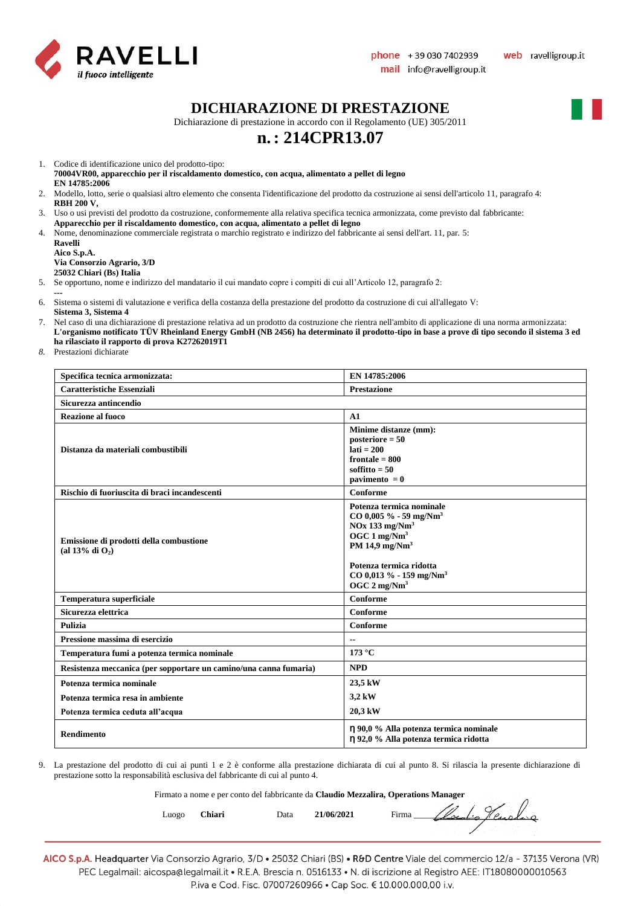

#### **DICHIARAZIONE DI PRESTAZIONE**

Dichiarazione di prestazione in accordo con il Regolamento (UE) 305/2011

## **n.: 214CPR13.07**

1. Codice di identificazione unico del prodotto-tipo:

**70004VR00, apparecchio per il riscaldamento domestico, con acqua, alimentato a pellet di legno EN 14785:2006**

- 2. Modello, lotto, serie o qualsiasi altro elemento che consenta l'identificazione del prodotto da costruzione ai sensi dell'articolo 11, paragrafo 4: **RBH 200 V,**
- 3. Uso o usi previsti del prodotto da costruzione, conformemente alla relativa specifica tecnica armonizzata, come previsto dal fabbricante: **Apparecchio per il riscaldamento domestico, con acqua, alimentato a pellet di legno**
- 4. Nome, denominazione commerciale registrata o marchio registrato e indirizzo del fabbricante ai sensi dell'art. 11, par. 5:

**Ravelli Aico S.p.A. Via Consorzio Agrario, 3/D 25032 Chiari (Bs) Italia**

5. Se opportuno, nome e indirizzo del mandatario il cui mandato copre i compiti di cui all'Articolo 12, paragrafo 2:

- **---**
- 6. Sistema o sistemi di valutazione e verifica della costanza della prestazione del prodotto da costruzione di cui all'allegato V: **Sistema 3, Sistema 4**
- 7. Nel caso di una dichiarazione di prestazione relativa ad un prodotto da costruzione che rientra nell'ambito di applicazione di una norma armonizzata: **L'organismo notificato TÜV Rheinland Energy GmbH (NB 2456) ha determinato il prodotto-tipo in base a prove di tipo secondo il sistema 3 ed ha rilasciato il rapporto di prova K27262019T1**
- *8.* Prestazioni dichiarate

| Specifica tecnica armonizzata:                                    | EN 14785:2006                                                                                                                                                                                                                                        |
|-------------------------------------------------------------------|------------------------------------------------------------------------------------------------------------------------------------------------------------------------------------------------------------------------------------------------------|
| <b>Caratteristiche Essenziali</b>                                 | <b>Prestazione</b>                                                                                                                                                                                                                                   |
| Sicurezza antincendio                                             |                                                                                                                                                                                                                                                      |
| <b>Reazione al fuoco</b>                                          | A1                                                                                                                                                                                                                                                   |
| Distanza da materiali combustibili                                | Minime distanze (mm):<br>posteriore $= 50$<br>$lati = 200$<br>$frontale = 800$<br>soffitto $= 50$<br>pavimento $= 0$                                                                                                                                 |
| Rischio di fuoriuscita di braci incandescenti                     | Conforme                                                                                                                                                                                                                                             |
| Emissione di prodotti della combustione<br>(al 13% di $O_2$ )     | Potenza termica nominale<br>$CO$ 0,005 % - 59 mg/Nm <sup>3</sup><br>$NOx$ 133 mg/ $Nm3$<br>OGC $1 \text{ mg}/\text{Nm}^3$<br>PM 14,9 mg/ $Nm3$<br>Potenza termica ridotta<br>$CO$ 0,013 % - 159 mg/Nm <sup>3</sup><br>OGC $2 \text{ mg}/\text{Nm}^3$ |
| Temperatura superficiale                                          | Conforme                                                                                                                                                                                                                                             |
| Sicurezza elettrica                                               | Conforme                                                                                                                                                                                                                                             |
| Pulizia                                                           | Conforme                                                                                                                                                                                                                                             |
| Pressione massima di esercizio                                    | $\overline{\phantom{a}}$                                                                                                                                                                                                                             |
| Temperatura fumi a potenza termica nominale                       | 173 °C                                                                                                                                                                                                                                               |
| Resistenza meccanica (per sopportare un camino/una canna fumaria) | <b>NPD</b>                                                                                                                                                                                                                                           |
| Potenza termica nominale                                          | 23,5 kW                                                                                                                                                                                                                                              |
| Potenza termica resa in ambiente                                  | 3,2 kW                                                                                                                                                                                                                                               |
| Potenza termica ceduta all'acqua                                  | 20,3 kW                                                                                                                                                                                                                                              |
| <b>Rendimento</b>                                                 | η 90,0 % Alla potenza termica nominale<br>η 92,0 % Alla potenza termica ridotta                                                                                                                                                                      |

9. La prestazione del prodotto di cui ai punti 1 e 2 è conforme alla prestazione dichiarata di cui al punto 8. Si rilascia la presente dichiarazione di prestazione sotto la responsabilità esclusiva del fabbricante di cui al punto 4.

Firmato a nome e per conto del fabbricante da **Claudio Mezzalira, Operations Manager**

Luogo **Chiari** Data **21/06/2021** Firma *Llocalio Henslang*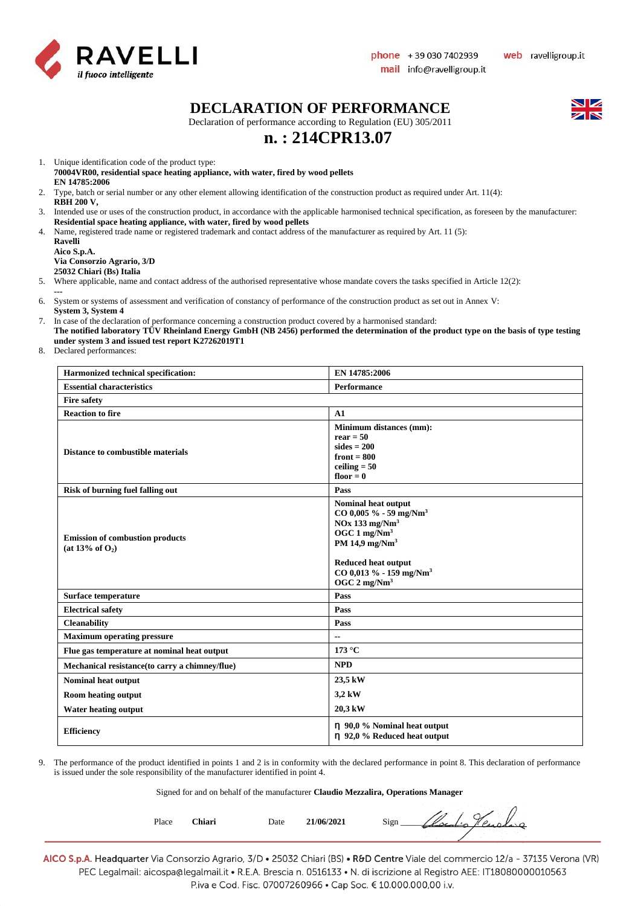

#### **DECLARATION OF PERFORMANCE**

Declaration of performance according to Regulation (EU) 305/2011

## **n. : 214CPR13.07**

1. Unique identification code of the product type:

**70004VR00, residential space heating appliance, with water, fired by wood pellets EN 14785:2006**

- 2. Type, batch or serial number or any other element allowing identification of the construction product as required under Art. 11(4): **RBH 200 V,**
- 3. Intended use or uses of the construction product, in accordance with the applicable harmonised technical specification, as foreseen by the manufacturer: **Residential space heating appliance, with water, fired by wood pellets**
- 4. Name, registered trade name or registered trademark and contact address of the manufacturer as required by Art. 11 (5):

**Ravelli Aico S.p.A. Via Consorzio Agrario, 3/D 25032 Chiari (Bs) Italia**

5. Where applicable, name and contact address of the authorised representative whose mandate covers the tasks specified in Article 12(2):

**---**

- 6. System or systems of assessment and verification of constancy of performance of the construction product as set out in Annex V: **System 3, System 4**
- 7. In case of the declaration of performance concerning a construction product covered by a harmonised standard:
- **The notified laboratory TÜV Rheinland Energy GmbH (NB 2456) performed the determination of the product type on the basis of type testing under system 3 and issued test report K27262019T1**

8. Declared performances:

| Harmonized technical specification:                                   | EN 14785:2006                                                                                                                                                                                                                               |
|-----------------------------------------------------------------------|---------------------------------------------------------------------------------------------------------------------------------------------------------------------------------------------------------------------------------------------|
| <b>Essential characteristics</b>                                      | <b>Performance</b>                                                                                                                                                                                                                          |
| <b>Fire safety</b>                                                    |                                                                                                                                                                                                                                             |
| <b>Reaction to fire</b>                                               | A1                                                                                                                                                                                                                                          |
| <b>Distance to combustible materials</b>                              | Minimum distances (mm):<br>$rear = 50$<br>$sides = 200$<br>front $= 800$<br>ceiling $= 50$<br>floor $= 0$                                                                                                                                   |
| Risk of burning fuel falling out                                      | Pass                                                                                                                                                                                                                                        |
| <b>Emission of combustion products</b><br>(at 13% of O <sub>2</sub> ) | Nominal heat output<br>$CO$ 0,005 % - 59 mg/Nm <sup>3</sup><br>$NOx$ 133 mg/ $Nm3$<br>OGC $1 \text{ mg/Nm}^3$<br>PM 14,9 mg/Nm <sup>3</sup><br>Reduced heat output<br>CO 0,013 % - 159 mg/Nm <sup>3</sup><br>OGC $2 \text{ mg}/\text{Nm}^3$ |
| Surface temperature                                                   | Pass                                                                                                                                                                                                                                        |
| <b>Electrical safety</b>                                              | Pass                                                                                                                                                                                                                                        |
| <b>Cleanability</b>                                                   | Pass                                                                                                                                                                                                                                        |
| <b>Maximum operating pressure</b>                                     | $-$                                                                                                                                                                                                                                         |
| Flue gas temperature at nominal heat output                           | 173 °C                                                                                                                                                                                                                                      |
| Mechanical resistance (to carry a chimney/flue)                       | <b>NPD</b>                                                                                                                                                                                                                                  |
| <b>Nominal heat output</b>                                            | 23,5 kW                                                                                                                                                                                                                                     |
| <b>Room heating output</b>                                            | 3,2 kW                                                                                                                                                                                                                                      |
| <b>Water heating output</b>                                           | 20,3 kW                                                                                                                                                                                                                                     |
| <b>Efficiency</b>                                                     | $\eta$ 90,0 % Nominal heat output<br>$\eta$ 92,0 % Reduced heat output                                                                                                                                                                      |

9. The performance of the product identified in points 1 and 2 is in conformity with the declared performance in point 8. This declaration of performance is issued under the sole responsibility of the manufacturer identified in point 4.

#### Signed for and on behalf of the manufacturer **Claudio Mezzalira, Operations Manager**

| Place | Chiari | Date | 21/06/2021 | Sign<br>$\sim$ $\sim$<br>$\circ$ |  |
|-------|--------|------|------------|----------------------------------|--|
|       |        |      |            |                                  |  |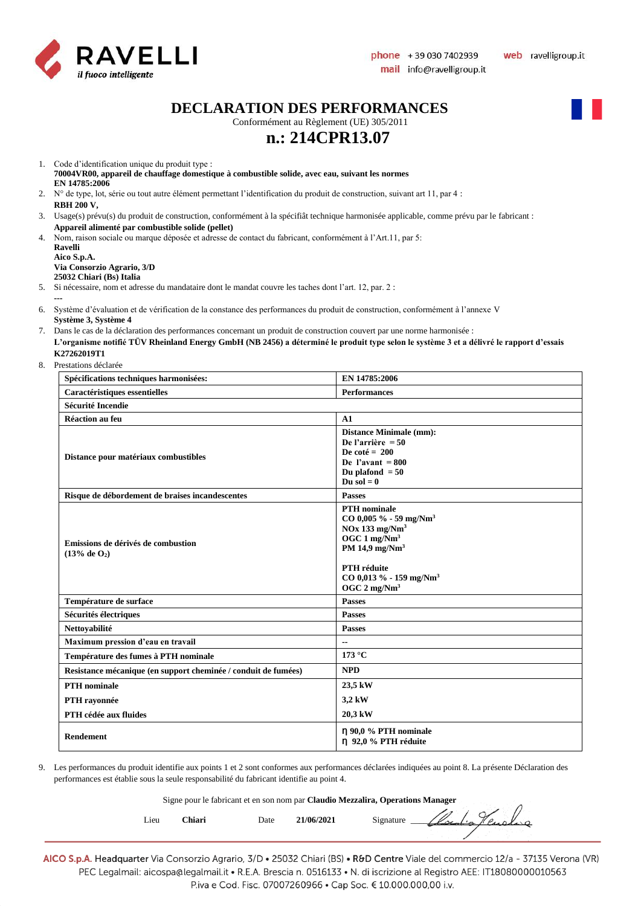

**DECLARATION DES PERFORMANCES**

Conformément au Règlement (UE) 305/2011

# **n.: 214CPR13.07**

- 1. Code d'identification unique du produit type : **70004VR00, appareil de chauffage domestique à combustible solide, avec eau, suivant les normes EN 14785:2006**
- 2. N° de type, lot, série ou tout autre élément permettant l'identification du produit de construction, suivant art 11, par 4 : **RBH 200 V,**
- 3. Usage(s) prévu(s) du produit de construction, conformément à la spécifiât technique harmonisée applicable, comme prévu par le fabricant : **Appareil alimenté par combustible solide (pellet)**
- 4. Nom, raison sociale ou marque déposée et adresse de contact du fabricant, conformément à l'Art.11, par 5: **Ravelli**

**Aico S.p.A. Via Consorzio Agrario, 3/D 25032 Chiari (Bs) Italia**

5. Si nécessaire, nom et adresse du mandataire dont le mandat couvre les taches dont l'art. 12, par. 2 :

**---**

- 7. Dans le cas de la déclaration des performances concernant un produit de construction couvert par une norme harmonisée : **L'organisme notifié TÜV Rheinland Energy GmbH (NB 2456) a déterminé le produit type selon le système 3 et a délivré le rapport d'essais K27262019T1**
- 8. Prestations déclarée

| Spécifications techniques harmonisées:                         | EN 14785:2006                                                                                                                                                                                                                                |
|----------------------------------------------------------------|----------------------------------------------------------------------------------------------------------------------------------------------------------------------------------------------------------------------------------------------|
| Caractéristiques essentielles                                  | <b>Performances</b>                                                                                                                                                                                                                          |
| <b>Sécurité Incendie</b>                                       |                                                                                                                                                                                                                                              |
| Réaction au feu                                                | A1                                                                                                                                                                                                                                           |
| Distance pour matériaux combustibles                           | <b>Distance Minimale (mm):</b><br>De l'arrière = $50$<br>De coté = $200$<br>De l'avant = $800$<br>Du plafond $= 50$<br>Du sol $= 0$                                                                                                          |
| Risque de débordement de braises incandescentes                | <b>Passes</b>                                                                                                                                                                                                                                |
| Emissions de dérivés de combustion<br>(13% de O <sub>2</sub> ) | <b>PTH</b> nominale<br>$CO$ 0,005 % - 59 mg/Nm <sup>3</sup><br>$NOx$ 133 mg/ $Nm3$<br>OGC $1 \text{ mg}/\text{Nm}^3$<br>PM 14,9 mg/Nm <sup>3</sup><br>PTH réduite<br>$CO$ 0,013 % - 159 mg/Nm <sup>3</sup><br>OGC $2 \text{ mg}/\text{Nm}^3$ |
| Température de surface                                         | <b>Passes</b>                                                                                                                                                                                                                                |
| Sécurités électriques                                          | <b>Passes</b>                                                                                                                                                                                                                                |
| Nettoyabilité                                                  | <b>Passes</b>                                                                                                                                                                                                                                |
| Maximum pression d'eau en travail                              | --                                                                                                                                                                                                                                           |
| Température des fumes à PTH nominale                           | 173 °C                                                                                                                                                                                                                                       |
| Resistance mécanique (en support cheminée / conduit de fumées) | <b>NPD</b>                                                                                                                                                                                                                                   |
| <b>PTH</b> nominale                                            | 23,5 kW                                                                                                                                                                                                                                      |
| PTH rayonnée                                                   | 3,2 kW                                                                                                                                                                                                                                       |
| PTH cédée aux fluides                                          | 20,3 kW                                                                                                                                                                                                                                      |
| <b>Rendement</b>                                               | $\eta$ 90,0 % PTH nominale<br>n 92,0 % PTH réduite                                                                                                                                                                                           |

9. Les performances du produit identifie aux points 1 et 2 sont conformes aux performances déclarées indiquées au point 8. La présente Déclaration des performances est établie sous la seule responsabilité du fabricant identifie au point 4.

Signe pour le fabricant et en son nom par **Claudio Mezzalira, Operations Manager** Lieu Chiari Date 21/06/2021 Signature *Clocal: Hensleys* 

<sup>6.</sup> Système d'évaluation et de vérification de la constance des performances du produit de construction, conformément à l'annexe V **Système 3, Système 4**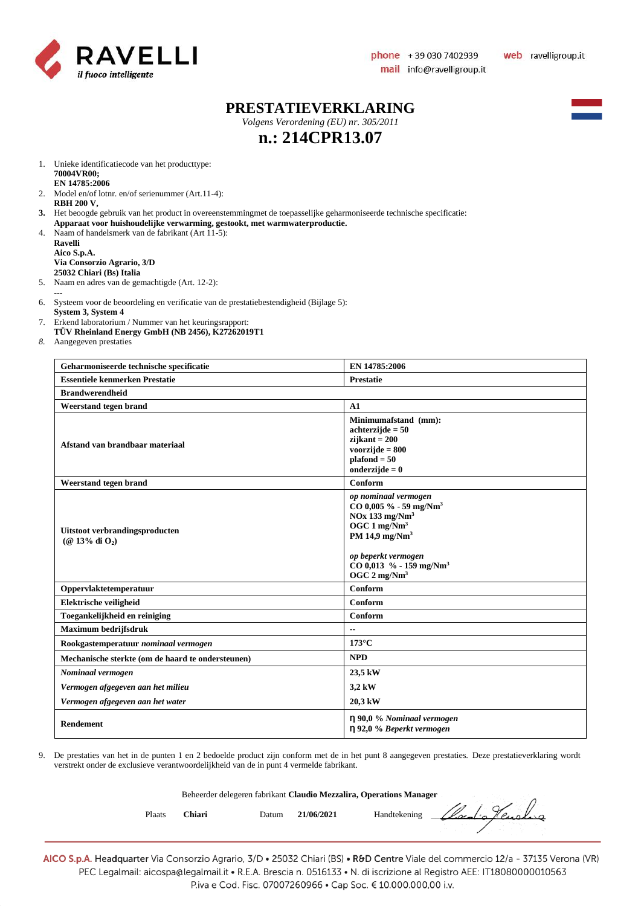

 $\sqrt{2}$ 

#### **PRESTATIEVERKLARING**

*Volgens Verordening (EU) nr. 305/2011*

# **n.: 214CPR13.07**

- 1. Unieke identificatiecode van het producttype: **70004VR00; EN 14785:2006**
- 2. Model en/of lotnr. en/of serienummer (Art.11-4): **RBH 200 V,**
- **3.** Het beoogde gebruik van het product in overeenstemmingmet de toepasselijke geharmoniseerde technische specificatie:
- **Apparaat voor huishoudelijke verwarming, gestookt, met warmwaterproductie.** 4. Naam of handelsmerk van de fabrikant (Art 11-5):
	- **Ravelli Aico S.p.A. Via Consorzio Agrario, 3/D 25032 Chiari (Bs) Italia**
- 5. Naam en adres van de gemachtigde (Art. 12-2):
- **---** 6. Systeem voor de beoordeling en verificatie van de prestatiebestendigheid (Bijlage 5):
- **System 3, System 4**
- 7. Erkend laboratorium / Nummer van het keuringsrapport:
- **TÜV Rheinland Energy GmbH (NB 2456), K27262019T1**
- *8.* Aangegeven prestaties

| Geharmoniseerde technische specificatie               | EN 14785:2006                                                                                                                                                                                                                                         |
|-------------------------------------------------------|-------------------------------------------------------------------------------------------------------------------------------------------------------------------------------------------------------------------------------------------------------|
| <b>Essentiele kenmerken Prestatie</b>                 | <b>Prestatie</b>                                                                                                                                                                                                                                      |
| <b>Brandwerendheid</b>                                |                                                                                                                                                                                                                                                       |
| Weerstand tegen brand                                 | A1                                                                                                                                                                                                                                                    |
| Afstand van brandbaar materiaal                       | Minimumafstand (mm):<br>$achterzijde = 50$<br>$zijkant = 200$<br>voorzijde $= 800$<br>$plafond = 50$<br>onderzijde $= 0$                                                                                                                              |
| Weerstand tegen brand                                 | Conform                                                                                                                                                                                                                                               |
| Uitstoot verbrandingsproducten<br>$(Q$ 13% di $O_2$ ) | op nominaal vermogen<br>$CO$ 0,005 % - 59 mg/Nm <sup>3</sup><br>$NOx$ 133 mg/ $Nm3$<br>OGC $1 \text{ mg}/\text{Nm}^3$<br>PM 14,9 mg/Nm <sup>3</sup><br>op beperkt vermogen<br>$CO$ 0,013 % - 159 mg/Nm <sup>3</sup><br>OGC $2 \text{ mg}/\text{Nm}^3$ |
| Oppervlaktetemperatuur                                | Conform                                                                                                                                                                                                                                               |
| Elektrische veiligheid                                | Conform                                                                                                                                                                                                                                               |
| Toegankelijkheid en reiniging                         | Conform                                                                                                                                                                                                                                               |
| Maximum bedrijfsdruk                                  | $\overline{\phantom{a}}$                                                                                                                                                                                                                              |
| Rookgastemperatuur nominaal vermogen                  | $173^{\circ}$ C                                                                                                                                                                                                                                       |
| Mechanische sterkte (om de haard te ondersteunen)     | <b>NPD</b>                                                                                                                                                                                                                                            |
| Nominaal vermogen                                     | 23,5 kW                                                                                                                                                                                                                                               |
| Vermogen afgegeven aan het milieu                     | 3,2 kW                                                                                                                                                                                                                                                |
| Vermogen afgegeven aan het water                      | 20,3 kW                                                                                                                                                                                                                                               |
| <b>Rendement</b>                                      | $\eta$ 90,0 % Nominaal vermogen<br>η 92,0 % Beperkt vermogen                                                                                                                                                                                          |

9. De prestaties van het in de punten 1 en 2 bedoelde product zijn conform met de in het punt 8 aangegeven prestaties. Deze prestatieverklaring wordt verstrekt onder de exclusieve verantwoordelijkheid van de in punt 4 vermelde fabrikant.

| Beheerder delegeren fabrikant Claudio Mezzalira, Operations Manager |  |  |
|---------------------------------------------------------------------|--|--|
|                                                                     |  |  |

| Plaats | Chiari | Datum | 21/06/2021 | Handtekening Cloud's Hensling                                                                                                |
|--------|--------|-------|------------|------------------------------------------------------------------------------------------------------------------------------|
|        |        |       |            | ALCOS n A Headquarter Via Consorzio Agrario 3/D • 25032 Chiari (RS) • R&D Centre Viale del commercio 12/2 - 37135 Verona (VR |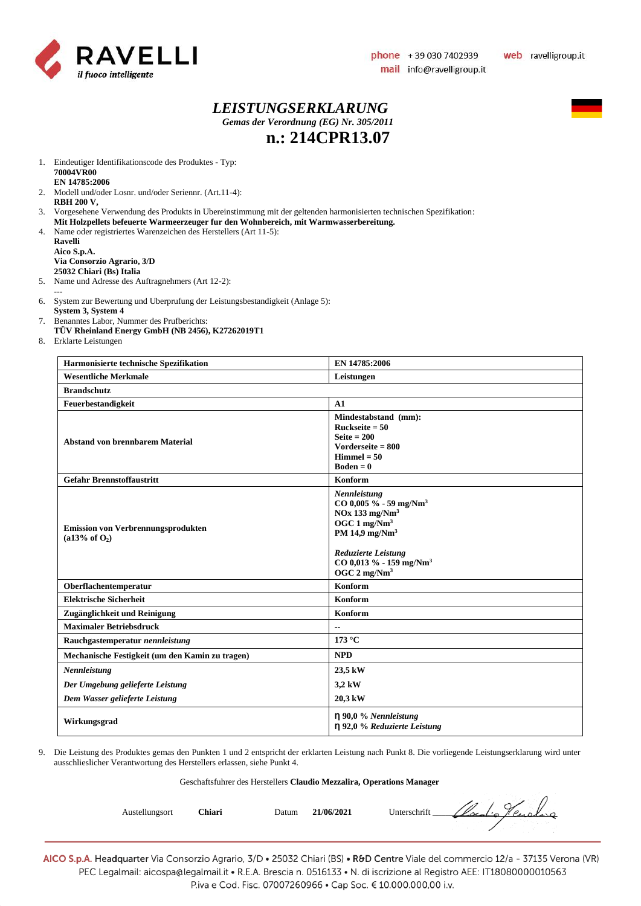

#### *LEISTUNGSERKLARUNG Gemas der Verordnung (EG) Nr. 305/2011* **n.: 214CPR13.07**



1. Eindeutiger Identifikationscode des Produktes - Typ: **70004VR00 EN 14785:2006**

- 2. Modell und/oder Losnr. und/oder Seriennr. (Art.11-4): **RBH 200 V,**
- 3. Vorgesehene Verwendung des Produkts in Ubereinstimmung mit der geltenden harmonisierten technischen Spezifikation:
- **Mit Holzpellets befeuerte Warmeerzeuger fur den Wohnbereich, mit Warmwasserbereitung.**
- 4. Name oder registriertes Warenzeichen des Herstellers (Art 11-5): **Ravelli Aico S.p.A.**

**Via Consorzio Agrario, 3/D 25032 Chiari (Bs) Italia**

- 5. Name und Adresse des Auftragnehmers (Art 12-2):
- **---**
- 6. System zur Bewertung und Uberprufung der Leistungsbestandigkeit (Anlage 5): **System 3, System 4**
- 7. Benanntes Labor, Nummer des Prufberichts:
- **TÜV Rheinland Energy GmbH (NB 2456), K27262019T1**
- 8. Erklarte Leistungen

| Harmonisierte technische Spezifikation                                 | EN 14785:2006                                                                                                                                                                                                                                    |
|------------------------------------------------------------------------|--------------------------------------------------------------------------------------------------------------------------------------------------------------------------------------------------------------------------------------------------|
| <b>Wesentliche Merkmale</b>                                            | Leistungen                                                                                                                                                                                                                                       |
| <b>Brandschutz</b>                                                     |                                                                                                                                                                                                                                                  |
| Feuerbestandigkeit                                                     | A1                                                                                                                                                                                                                                               |
| <b>Abstand von brennbarem Material</b>                                 | Mindestabstand (mm):<br>Ruckseite $= 50$<br>Seite $= 200$<br>Vorderseite $= 800$<br>$Himmel = 50$<br>$Boden = 0$                                                                                                                                 |
| <b>Gefahr Brennstoffaustritt</b>                                       | Konform                                                                                                                                                                                                                                          |
| <b>Emission von Verbrennungsprodukten</b><br>(a13% of O <sub>2</sub> ) | Nennleistung<br>CO 0,005 % - 59 mg/Nm <sup>3</sup><br>$NOx$ 133 mg/ $Nm3$<br>OGC $1 \text{ mg}/\text{Nm}^3$<br>PM 14,9 mg/Nm <sup>3</sup><br><b>Reduzierte Leistung</b><br>CO 0,013 % - 159 mg/Nm <sup>3</sup><br>OGC $2 \text{ mg}/\text{Nm}^3$ |
| Oberflachentemperatur                                                  | Konform                                                                                                                                                                                                                                          |
| <b>Elektrische Sicherheit</b>                                          | Konform                                                                                                                                                                                                                                          |
| Zugänglichkeit und Reinigung                                           | Konform                                                                                                                                                                                                                                          |
| <b>Maximaler Betriebsdruck</b>                                         | $- -$                                                                                                                                                                                                                                            |
| Rauchgastemperatur nennleistung                                        | 173 °C                                                                                                                                                                                                                                           |
| Mechanische Festigkeit (um den Kamin zu tragen)                        | <b>NPD</b>                                                                                                                                                                                                                                       |
| Nennleistung                                                           | 23,5 kW                                                                                                                                                                                                                                          |
| Der Umgebung gelieferte Leistung                                       | 3,2 kW                                                                                                                                                                                                                                           |
| Dem Wasser gelieferte Leistung                                         | 20,3 kW                                                                                                                                                                                                                                          |
| Wirkungsgrad                                                           | $\eta$ 90,0 % Nennleistung<br>$\eta$ 92,0 % Reduzierte Leistung                                                                                                                                                                                  |

9. Die Leistung des Produktes gemas den Punkten 1 und 2 entspricht der erklarten Leistung nach Punkt 8. Die vorliegende Leistungserklarung wird unter ausschlieslicher Verantwortung des Herstellers erlassen, siehe Punkt 4.

#### Geschaftsfuhrer des Herstellers **Claudio Mezzalira, Operations Manager**

| Austellungsort | Chiari | Datum | 21/06/2021 | Cloudio Hendino<br>Unterschrift |
|----------------|--------|-------|------------|---------------------------------|
|                |        |       |            |                                 |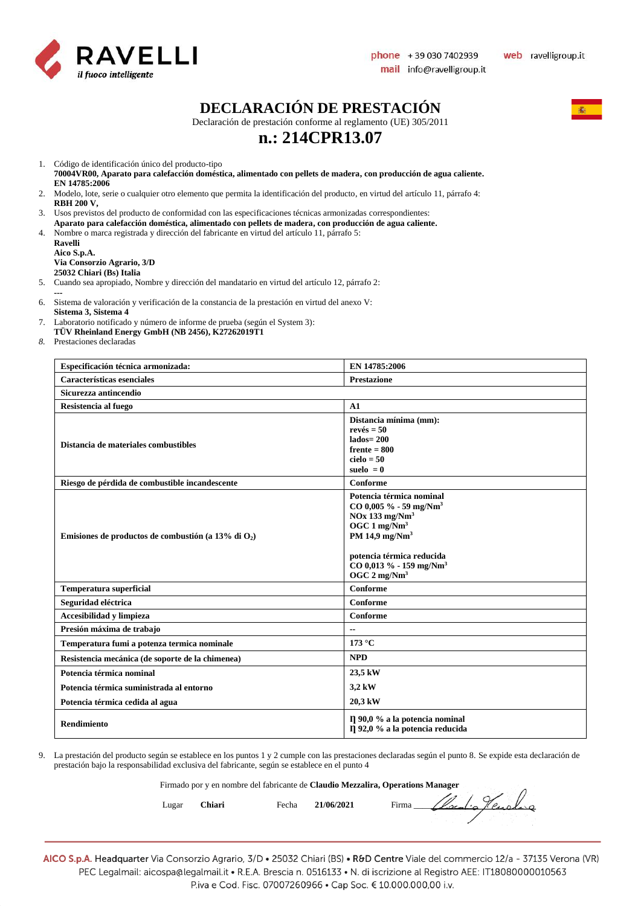

#### **DECLARACIÓN DE PRESTACIÓN**

Declaración de prestación conforme al reglamento (UE) 305/2011

# **n.: 214CPR13.07**

1. Código de identificación único del producto-tipo

- **70004VR00, Aparato para calefacción doméstica, alimentado con pellets de madera, con producción de agua caliente. EN 14785:2006**
- 2. Modelo, lote, serie o cualquier otro elemento que permita la identificación del producto, en virtud del artículo 11, párrafo 4:
- **RBH 200 V,**  3. Usos previstos del producto de conformidad con las especificaciones técnicas armonizadas correspondientes:
- **Aparato para calefacción doméstica, alimentado con pellets de madera, con producción de agua caliente.** 4. Nombre o marca registrada y dirección del fabricante en virtud del artículo 11, párrafo 5:
- **Ravelli Aico S.p.A.**

**Via Consorzio Agrario, 3/D**

- **25032 Chiari (Bs) Italia**
- 5. Cuando sea apropiado, Nombre y dirección del mandatario en virtud del artículo 12, párrafo 2:
- **---** 6. Sistema de valoración y verificación de la constancia de la prestación en virtud del anexo V:
- **Sistema 3, Sistema 4**
- 7. Laboratorio notificado y número de informe de prueba (según el System 3):
- **TÜV Rheinland Energy GmbH (NB 2456), K27262019T1**
- *8.* Prestaciones declaradas

| Especificación técnica armonizada:                     | EN 14785:2006                                                                                                                                                                                                                                                   |
|--------------------------------------------------------|-----------------------------------------------------------------------------------------------------------------------------------------------------------------------------------------------------------------------------------------------------------------|
| Características esenciales                             | <b>Prestazione</b>                                                                                                                                                                                                                                              |
| Sicurezza antincendio                                  |                                                                                                                                                                                                                                                                 |
| Resistencia al fuego                                   | A1                                                                                                                                                                                                                                                              |
| Distancia de materiales combustibles                   | Distancia mínima (mm):<br>$rev\acute{e}s = 50$<br>$lados = 200$<br>$f$ rente = 800<br>$cielo = 50$<br>suelo $= 0$                                                                                                                                               |
| Riesgo de pérdida de combustible incandescente         | Conforme                                                                                                                                                                                                                                                        |
| Emisiones de productos de combustión (a 13% di $O_2$ ) | Potencia térmica nominal<br>$CO$ 0,005 % - 59 mg/Nm <sup>3</sup><br>$NOx$ 133 mg/ $Nm3$<br>OGC $1 \text{ mg}/\text{Nm}^3$<br>PM 14,9 mg/Nm <sup>3</sup><br>potencia térmica reducida<br>$CO$ 0,013 % - 159 mg/Nm <sup>3</sup><br>OGC $2 \text{ mg}/\text{Nm}^3$ |
| Temperatura superficial                                | Conforme                                                                                                                                                                                                                                                        |
| Seguridad eléctrica                                    | Conforme                                                                                                                                                                                                                                                        |
| Accesibilidad y limpieza                               | Conforme                                                                                                                                                                                                                                                        |
| Presión máxima de trabajo                              |                                                                                                                                                                                                                                                                 |
| Temperatura fumi a potenza termica nominale            | 173 °C                                                                                                                                                                                                                                                          |
| Resistencia mecánica (de soporte de la chimenea)       | <b>NPD</b>                                                                                                                                                                                                                                                      |
| Potencia térmica nominal                               | 23,5 kW                                                                                                                                                                                                                                                         |
| Potencia térmica suministrada al entorno               | 3,2 kW                                                                                                                                                                                                                                                          |
| Potencia térmica cedida al agua                        | 20,3 kW                                                                                                                                                                                                                                                         |
| Rendimiento                                            | $\Pi$ 90,0 % a la potencia nominal<br>η 92,0 % a la potencia reducida                                                                                                                                                                                           |

9. La prestación del producto según se establece en los puntos 1 y 2 cumple con las prestaciones declaradas según el punto 8. Se expide esta declaración de prestación bajo la responsabilidad exclusiva del fabricante, según se establece en el punto 4

Firmado por y en nombre del fabricante de **Claudio Mezzalira, Operations Manager**

Lugar **Chiari** Fecha **21/06/2021** Firma \_\_\_\_\_\_\_\_\_\_\_\_\_\_\_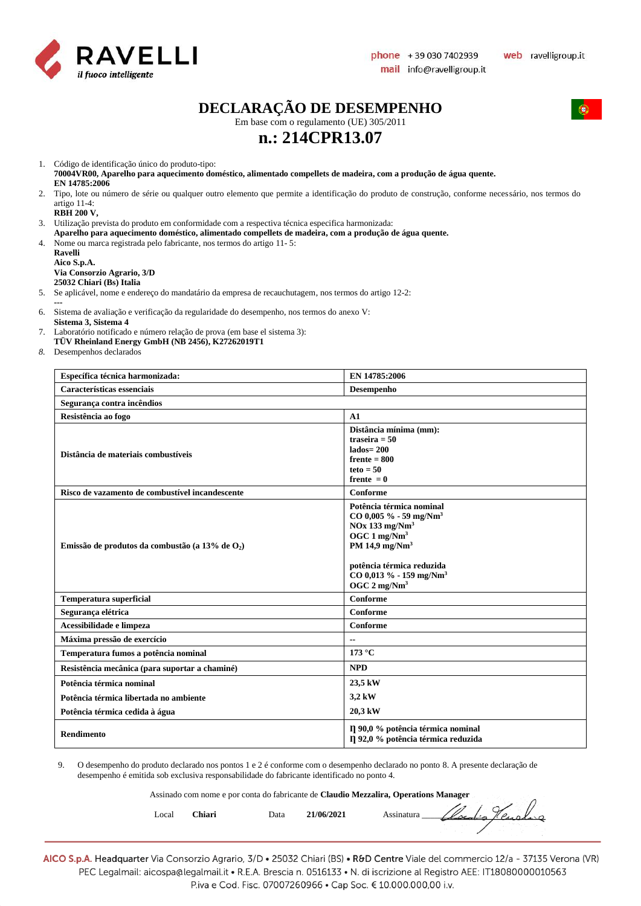

 $\sqrt{ }$ 

# **DECLARAÇÃO DE DESEMPENHO**

Em base com o regulamento (UE) 305/2011

# **n.: 214CPR13.07**

1. Código de identificação único do produto-tipo:

**70004VR00, Aparelho para aquecimento doméstico, alimentado compellets de madeira, com a produção de água quente. EN 14785:2006**

- 2. Tipo, lote ou número de série ou qualquer outro elemento que permite a identificação do produto de construção, conforme necessário, nos termos do artigo 11-4:
	- **RBH 200 V,**

3. Utilização prevista do produto em conformidade com a respectiva técnica especifica harmonizada: **Aparelho para aquecimento doméstico, alimentado compellets de madeira, com a produção de água quente.** 4. Nome ou marca registrada pelo fabricante, nos termos do artigo 11- 5:

**Ravelli Aico S.p.A. Via Consorzio Agrario, 3/D 25032 Chiari (Bs) Italia**

5. Se aplicável, nome e endereço do mandatário da empresa de recauchutagem, nos termos do artigo 12-2:

**---**

6. Sistema de avaliação e verificação da regularidade do desempenho, nos termos do anexo V: **Sistema 3, Sistema 4** 

7. Laboratório notificado e número relação de prova (em base el sistema 3):

**TÜV Rheinland Energy GmbH (NB 2456), K27262019T1**

*8.* Desempenhos declarados

| Específica técnica harmonizada:                    | EN 14785:2006                                                                                                                                                                                                                                                 |
|----------------------------------------------------|---------------------------------------------------------------------------------------------------------------------------------------------------------------------------------------------------------------------------------------------------------------|
| Características essenciais                         | Desempenho                                                                                                                                                                                                                                                    |
| Segurança contra incêndios                         |                                                                                                                                                                                                                                                               |
| Resistência ao fogo                                | A1                                                                                                                                                                                                                                                            |
| Distância de materiais combustíveis                | Distância mínima (mm):<br>traseira $= 50$<br>$lados = 200$<br>$f$ rente = 800<br>$teto = 50$<br>frente $= 0$                                                                                                                                                  |
| Risco de vazamento de combustível incandescente    | Conforme                                                                                                                                                                                                                                                      |
| Emissão de produtos da combustão (a 13% de $O_2$ ) | Potência térmica nominal<br>$CO$ 0,005 % - 59 mg/Nm <sup>3</sup><br>$NOx$ 133 mg/ $Nm3$<br>OGC $1 \text{ mg}/\text{Nm}^3$<br>PM 14,9 mg/Nm <sup>3</sup><br>potência térmica reduzida<br>CO 0,013 % - 159 mg/Nm <sup>3</sup><br>OGC $2 \text{ mg}/\text{Nm}^3$ |
| <b>Temperatura superficial</b>                     | Conforme                                                                                                                                                                                                                                                      |
| Segurança elétrica                                 | Conforme                                                                                                                                                                                                                                                      |
| Acessibilidade e limpeza                           | Conforme                                                                                                                                                                                                                                                      |
| Máxima pressão de exercício                        |                                                                                                                                                                                                                                                               |
| Temperatura fumos a potência nominal               | 173 °C                                                                                                                                                                                                                                                        |
| Resistência mecânica (para suportar a chaminé)     | <b>NPD</b>                                                                                                                                                                                                                                                    |
| Potência térmica nominal                           | 23,5 kW                                                                                                                                                                                                                                                       |
| Potência térmica libertada no ambiente             | 3,2 kW                                                                                                                                                                                                                                                        |
| Potência térmica cedida à água                     | 20,3 kW                                                                                                                                                                                                                                                       |
| <b>Rendimento</b>                                  | Il 90,0 % potência térmica nominal<br>η 92,0 % potência térmica reduzida                                                                                                                                                                                      |

9. O desempenho do produto declarado nos pontos 1 e 2 é conforme com o desempenho declarado no ponto 8. A presente declaração de desempenho é emitida sob exclusiva responsabilidade do fabricante identificado no ponto 4.

Assinado com nome e por conta do fabricante de **Claudio Mezzalira, Operations Manager**

| Local | Chiari | Data | $^{\prime}$ 06/2021 | $\mathbb{V}$<br>sinatura |
|-------|--------|------|---------------------|--------------------------|
|       |        |      |                     |                          |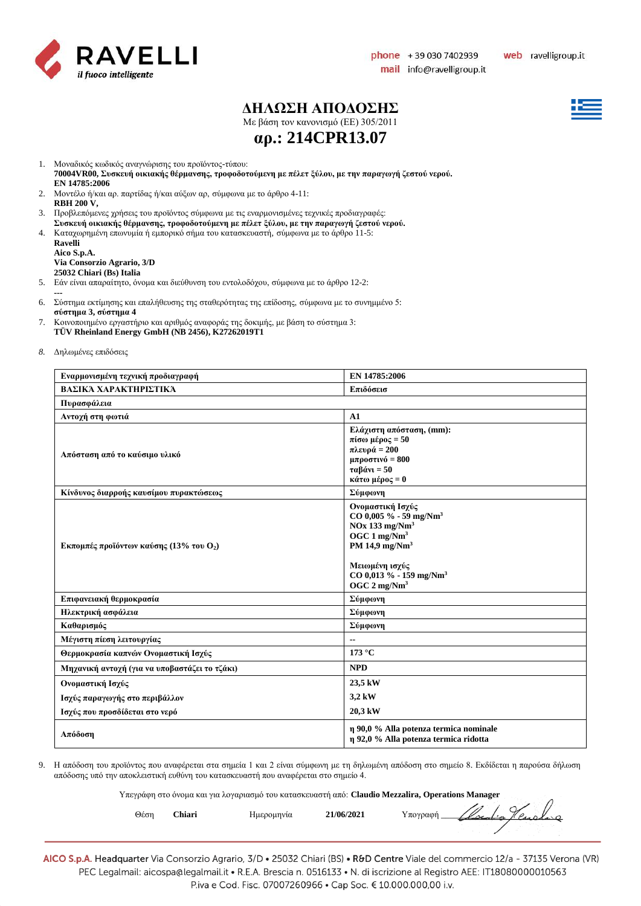

#### **ΔΗΛΩΣΗ ΑΠΟΔΟΣΗΣ**

Με βάση τον κανονισμό (ΕE) 305/2011



**αρ.: 214CPR13.07**

- 
- 1. Μοναδικός κωδικός αναγνώρισης του προϊόντος-τύπου: **70004VR00, Συσκευή οικιακής θέρμανσης, τροφοδοτούμενη με πέλετ ξύλου, με την παραγωγή ζεστού νερού.**
- **EN 14785:2006** 2. Μοντέλο ή/και αρ. παρτίδας ή/και αύξων αρ, σύμφωνα με το άρθρο 4-11: **RBH 200 V,**
- 3. Προβλεπόμενες χρήσεις του προϊόντος σύμφωνα με τις εναρμονισμένες τεχνικές προδιαγραφές:
- **Συσκευή οικιακής θέρμανσης, τροφοδοτούμενη με πέλετ ξύλου, με την παραγωγή ζεστού νερού.**
- 4. Καταχωρημένη επωνυμία ή εμπορικό σήμα του κατασκευαστή, σύμφωνα με το άρθρο 11-5:

| Ravelli                    |
|----------------------------|
| Aico S.p.A.                |
| Via Consorzio Agrario, 3/D |
| 25032 Chiari (Bs) Italia   |

- 5. Εάν είναι απαραίτητο, όνομα και διεύθυνση του εντολοδόχου, σύμφωνα με το άρθρο 12-2:
- **---** 6. Σύστημα εκτίμησης και επαλήθευσης της σταθερότητας της επίδοσης, σύμφωνα με το συνημμένο 5: **σύστημα 3, σύστημα 4**
- 7. Κοινοποιημένο εργαστήριο και αριθμός αναφοράς της δοκιμής, με βάση το σύστημα 3: **TÜV Rheinland Energy GmbH (NB 2456), K27262019T1**
- *8.* Δηλωμένες επιδόσεις

| Εναρμονισμένη τεχνική προδιαγραφή             | EN 14785:2006                                                                                                                                                                                                                        |  |  |  |
|-----------------------------------------------|--------------------------------------------------------------------------------------------------------------------------------------------------------------------------------------------------------------------------------------|--|--|--|
| ΒΑΣΙΚΆ ΧΑΡΑΚΤΗΡΙΣΤΙΚΆ                         | Επιδόσεισ                                                                                                                                                                                                                            |  |  |  |
| Πυρασφάλεια                                   |                                                                                                                                                                                                                                      |  |  |  |
| Αντοχή στη φωτιά                              | A1                                                                                                                                                                                                                                   |  |  |  |
| Απόσταση από το καύσιμο υλικό                 | Ελάχιστη απόσταση, (mm):<br>$\pi$ ίσω μέρος = 50<br>πλευρά = 200<br>μπροστινό = $800$<br>$\tau\alpha\beta\acute{\alpha}vv=50$<br>κάτω μέρος = 0                                                                                      |  |  |  |
| Κίνδυνος διαρροής καυσίμου πυρακτώσεως        | Σύμφωνη                                                                                                                                                                                                                              |  |  |  |
| Εκπομπές προϊόντων καύσης (13% του $O_2$ )    | Ονομαστική Ισχύς<br>CO 0,005 % - 59 mg/Nm <sup>3</sup><br>$NOx$ 133 mg/ $Nm3$<br>OGC $1 \text{ mg}/\text{Nm}^3$<br>PM 14,9 mg/Nm <sup>3</sup><br>Μειωμένη ισχύς<br>CO 0,013 % - 159 mg/Nm <sup>3</sup><br>$OGC 2$ mg/Nm <sup>3</sup> |  |  |  |
| Επιφανειακή θερμοκρασία                       | Σύμφωνη                                                                                                                                                                                                                              |  |  |  |
| Ηλεκτρική ασφάλεια                            | Σύμφωνη                                                                                                                                                                                                                              |  |  |  |
| Καθαρισμός                                    | Σύμφωνη                                                                                                                                                                                                                              |  |  |  |
| Μέγιστη πίεση λειτουργίας                     |                                                                                                                                                                                                                                      |  |  |  |
| Θερμοκρασία καπνών Ονομαστική Ισχύς           | 173 °C                                                                                                                                                                                                                               |  |  |  |
| Μηχανική αντοχή (για να υποβαστάζει το τζάκι) | <b>NPD</b>                                                                                                                                                                                                                           |  |  |  |
| Ονομαστική Ισχύς                              | 23,5 kW                                                                                                                                                                                                                              |  |  |  |
| Ισχύς παραγωγής στο περιβάλλον                | 3,2 kW                                                                                                                                                                                                                               |  |  |  |
| Ισχύς που προσδίδεται στο νερό                | 20,3 kW                                                                                                                                                                                                                              |  |  |  |
| Απόδοση                                       | η 90,0 % Alla potenza termica nominale<br>η 92,0 % Alla potenza termica ridotta                                                                                                                                                      |  |  |  |

9. Η απόδοση του προϊόντος που αναφέρεται στα σημεία 1 και 2 είναι σύμφωνη με τη δηλωμένη απόδοση στο σημείο 8. Εκδίδεται η παρούσα δήλωση απόδοσης υπό την αποκλειστική ευθύνη του κατασκευαστή που αναφέρεται στο σημείο 4.

Υπεγράφη στο όνομα και για λογαριασμό του κατασκευαστή από: **Claudio Mezzalira, Operations Manager**

| Θέση | Chiari | Ημερομηνία | 21/06/2021 | $l_{\alpha}$<br>77<br>ι⁄ πονοαφή |
|------|--------|------------|------------|----------------------------------|
|      |        |            |            |                                  |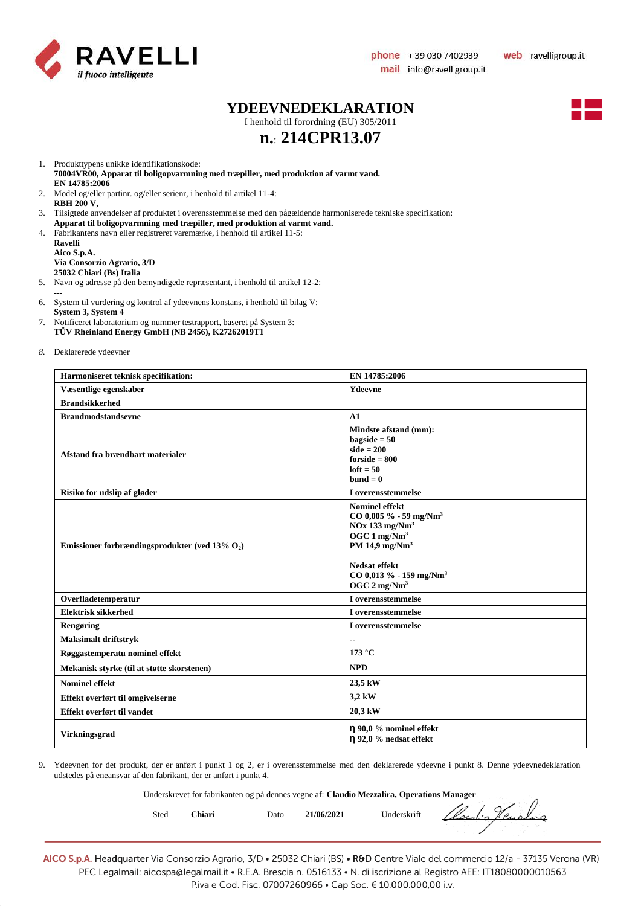

 $\sqrt{ }$ 

#### **YDEEVNEDEKLARATION**

I henhold til forordning (EU) 305/2011

# **n.**: **214CPR13.07**



1. Produkttypens unikke identifikationskode: **70004VR00, Apparat til boligopvarmning med træpiller, med produktion af varmt vand. EN 14785:2006**

- 2. Model og/eller partinr. og/eller serienr, i henhold til artikel 11-4: **RBH 200 V,**
- 3. Tilsigtede anvendelser af produktet i overensstemmelse med den pågældende harmoniserede tekniske specifikation:
- **Apparat til boligopvarmning med træpiller, med produktion af varmt vand.**
- 4. Fabrikantens navn eller registreret varemærke, i henhold til artikel 11-5: **Ravelli Aico S.p.A. Via Consorzio Agrario, 3/D**

**25032 Chiari (Bs) Italia** 5. Navn og adresse på den bemyndigede repræsentant, i henhold til artikel 12-2:

- **---** 6. System til vurdering og kontrol af ydeevnens konstans, i henhold til bilag V: **System 3, System 4**
- 7. Notificeret laboratorium og nummer testrapport, baseret på System 3: **TÜV Rheinland Energy GmbH (NB 2456), K27262019T1**
- *8.* Deklarerede ydeevner

| Harmoniseret teknisk specifikation:               | EN 14785:2006                                                                                                                                                                                                                                |  |  |
|---------------------------------------------------|----------------------------------------------------------------------------------------------------------------------------------------------------------------------------------------------------------------------------------------------|--|--|
| Væsentlige egenskaber                             | Ydeevne                                                                                                                                                                                                                                      |  |  |
| <b>Brandsikkerhed</b>                             |                                                                                                                                                                                                                                              |  |  |
| <b>Brandmodstandsevne</b>                         | A1                                                                                                                                                                                                                                           |  |  |
| Afstand fra brændbart materialer                  | Mindste afstand (mm):<br>$bagside = 50$<br>$side = 200$<br>$for side = 800$<br>$left = 50$<br>$bund = 0$                                                                                                                                     |  |  |
| Risiko for udslip af gløder                       | I overensstemmelse                                                                                                                                                                                                                           |  |  |
| Emissioner forbrændingsprodukter (ved 13% $O_2$ ) | <b>Nominel effekt</b><br>$CO$ 0,005 % - 59 mg/Nm <sup>3</sup><br>$NOx$ 133 mg/ $Nm3$<br>OGC $1 \text{ mg}/\text{Nm}^3$<br>PM 14,9 mg/ $Nm3$<br><b>Nedsat effekt</b><br>CO 0,013 % - 159 mg/Nm <sup>3</sup><br>OGC $2 \text{ mg}/\text{Nm}^3$ |  |  |
| Overfladetemperatur                               | I overensstemmelse                                                                                                                                                                                                                           |  |  |
| <b>Elektrisk sikkerhed</b>                        | I overensstemmelse                                                                                                                                                                                                                           |  |  |
| Rengøring                                         | I overensstemmelse                                                                                                                                                                                                                           |  |  |
| <b>Maksimalt driftstryk</b>                       | $\overline{\phantom{a}}$                                                                                                                                                                                                                     |  |  |
| Røggastemperatu nominel effekt                    | 173 °C                                                                                                                                                                                                                                       |  |  |
| Mekanisk styrke (til at støtte skorstenen)        | <b>NPD</b>                                                                                                                                                                                                                                   |  |  |
| <b>Nominel effekt</b>                             | 23,5 kW                                                                                                                                                                                                                                      |  |  |
| Effekt overført til omgivelserne                  | 3,2 kW                                                                                                                                                                                                                                       |  |  |
| Effekt overført til vandet                        | 20,3 kW                                                                                                                                                                                                                                      |  |  |
| <b>Virkningsgrad</b>                              | n 90,0 % nominel effekt<br>η 92,0 % nedsat effekt                                                                                                                                                                                            |  |  |

9. Ydeevnen for det produkt, der er anført i punkt 1 og 2, er i overensstemmelse med den deklarerede ydeevne i punkt 8. Denne ydeevnedeklaration udstedes på eneansvar af den fabrikant, der er anført i punkt 4.

Underskrevet for fabrikanten og på dennes vegne af: **Claudio Mezzalira, Operations Manager**

| Sted | 'hiari | Dato | 21/06/2021 | Underskrift | Renders<br>$\mathbb{Z}/\mathbb{Z}$ |
|------|--------|------|------------|-------------|------------------------------------|
|------|--------|------|------------|-------------|------------------------------------|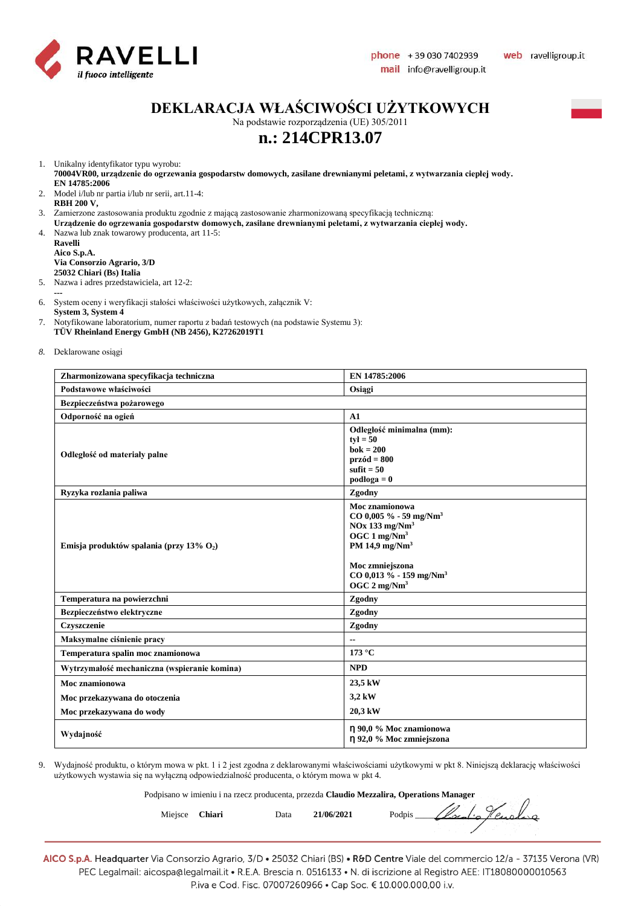

### **DEKLARACJA WŁAŚCIWOŚCI UŻYTKOWYCH**

Na podstawie rozporządzenia (UE) 305/2011

### **n.: 214CPR13.07**

1. Unikalny identyfikator typu wyrobu:

**70004VR00, urządzenie do ogrzewania gospodarstw domowych, zasilane drewnianymi peletami, z wytwarzania ciepłej wody. EN 14785:2006**

- 2. Model i/lub nr partia i/lub nr serii, art.11-4: **RBH 200 V,**
- 3. Zamierzone zastosowania produktu zgodnie z mającą zastosowanie zharmonizowaną specyfikacją techniczną:
- **Urządzenie do ogrzewania gospodarstw domowych, zasilane drewnianymi peletami, z wytwarzania ciepłej wody.**
- 4. Nazwa lub znak towarowy producenta, art 11-5:

**Ravelli Aico S.p.A. Via Consorzio Agrario, 3/D 25032 Chiari (Bs) Italia**

- 5. Nazwa i adres przedstawiciela, art 12-2:
- **---**

6. System oceny i weryfikacji stałości właściwości użytkowych, załącznik V:

**System 3, System 4**

7. Notyfikowane laboratorium, numer raportu z badań testowych (na podstawie Systemu 3): **TÜV Rheinland Energy GmbH (NB 2456), K27262019T1**

*8.* Deklarowane osiągi

| Zharmonizowana specyfikacja techniczna       | EN 14785:2006                                                                                                                                                                                                                         |  |
|----------------------------------------------|---------------------------------------------------------------------------------------------------------------------------------------------------------------------------------------------------------------------------------------|--|
| Podstawowe właściwości                       | Osiągi                                                                                                                                                                                                                                |  |
| Bezpieczeństwa pożarowego                    |                                                                                                                                                                                                                                       |  |
| Odporność na ogień                           | A1                                                                                                                                                                                                                                    |  |
| Odległość od materiały palne                 | Odległość minimalna (mm):<br>$tvl = 50$<br>$\mathbf{b} \mathbf{o} \mathbf{k} = 200$<br>$przód = 800$<br>sufit $= 50$<br>$podloga = 0$                                                                                                 |  |
| Ryzyka rozlania paliwa                       | Zgodny                                                                                                                                                                                                                                |  |
| Emisja produktów spalania (przy 13% $O_2$ )  | Moc znamionowa<br>$CO$ 0,005 % - 59 mg/Nm <sup>3</sup><br>$NOx$ 133 mg/ $Nm3$<br>OGC $1 \text{ mg}/\text{Nm}^3$<br>PM 14,9 mg/Nm <sup>3</sup><br>Moc zmniejszona<br>$CO$ 0,013 % - 159 mg/Nm <sup>3</sup><br>OGC 2 mg/Nm <sup>3</sup> |  |
| Temperatura na powierzchni                   | Zgodny                                                                                                                                                                                                                                |  |
| Bezpieczeństwo elektryczne                   | Zgodny                                                                                                                                                                                                                                |  |
| Czyszczenie                                  | Zgodny                                                                                                                                                                                                                                |  |
| Maksymalne ciśnienie pracy                   | $\overline{\phantom{a}}$                                                                                                                                                                                                              |  |
| Temperatura spalin moc znamionowa            | 173 °C                                                                                                                                                                                                                                |  |
| Wytrzymałość mechaniczna (wspieranie komina) | <b>NPD</b>                                                                                                                                                                                                                            |  |
| Moc znamionowa                               | 23,5 kW                                                                                                                                                                                                                               |  |
| Moc przekazywana do otoczenia                | 3,2 kW                                                                                                                                                                                                                                |  |
| Moc przekazywana do wody                     | 20,3 kW                                                                                                                                                                                                                               |  |
| Wydajność                                    | η 90,0 % Moc znamionowa<br>η 92,0 % Moc zmniejszona                                                                                                                                                                                   |  |

9. Wydajność produktu, o którym mowa w pkt. 1 i 2 jest zgodna z deklarowanymi właściwościami użytkowymi w pkt 8. Niniejszą deklarację właściwości użytkowych wystawia się na wyłączną odpowiedzialność producenta, o którym mowa w pkt 4.

Podpisano w imieniu i na rzecz producenta, przezda **Claudio Mezzalira, Operations Manager**

Miejsce Chiari Data 21/06/2021 Podpis *Clocal Penslang*